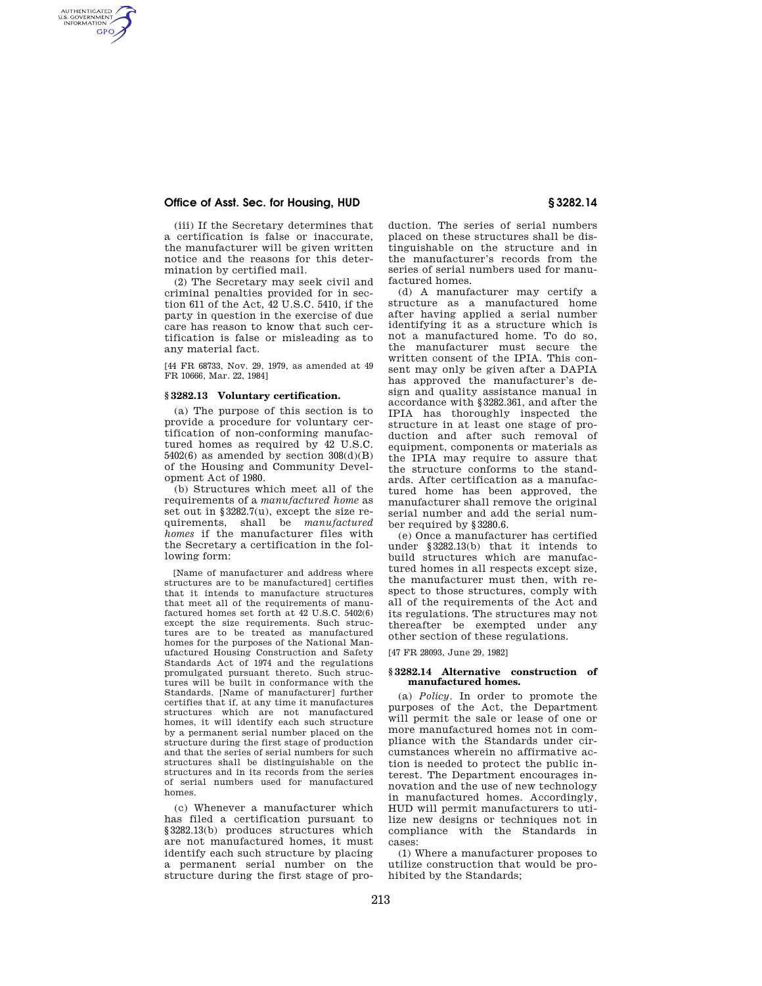# **Office of Asst. Sec. for Housing, HUD § 3282.14**

AUTHENTICATED<br>U.S. GOVERNMENT<br>INFORMATION **GPO** 

> (iii) If the Secretary determines that a certification is false or inaccurate, the manufacturer will be given written notice and the reasons for this determination by certified mail.

> (2) The Secretary may seek civil and criminal penalties provided for in section 611 of the Act, 42 U.S.C. 5410, if the party in question in the exercise of due care has reason to know that such certification is false or misleading as to any material fact.

> [44 FR 68733, Nov. 29, 1979, as amended at 49 FR 10666, Mar. 22, 1984]

## **§ 3282.13 Voluntary certification.**

(a) The purpose of this section is to provide a procedure for voluntary certification of non-conforming manufactured homes as required by 42 U.S.C.  $5402(6)$  as amended by section  $308(d)(B)$ of the Housing and Community Development Act of 1980.

(b) Structures which meet all of the requirements of a *manufactured home* as set out in §3282.7(u), except the size requirements, shall be *manufactured homes* if the manufacturer files with the Secretary a certification in the following form:

[Name of manufacturer and address where structures are to be manufactured] certifies that it intends to manufacture structures that meet all of the requirements of manufactured homes set forth at 42 U.S.C. 5402(6) except the size requirements. Such structures are to be treated as manufactured homes for the purposes of the National Manufactured Housing Construction and Safety Standards Act of 1974 and the regulations promulgated pursuant thereto. Such structures will be built in conformance with the Standards. [Name of manufacturer] further certifies that if, at any time it manufactures structures which are not manufactured homes, it will identify each such structure by a permanent serial number placed on the structure during the first stage of production and that the series of serial numbers for such structures shall be distinguishable on the structures and in its records from the series of serial numbers used for manufactured homes.

(c) Whenever a manufacturer which has filed a certification pursuant to §3282.13(b) produces structures which are not manufactured homes, it must identify each such structure by placing a permanent serial number on the structure during the first stage of production. The series of serial numbers placed on these structures shall be distinguishable on the structure and in the manufacturer's records from the series of serial numbers used for manufactured homes.

(d) A manufacturer may certify a structure as a manufactured home after having applied a serial number identifying it as a structure which is not a manufactured home. To do so, the manufacturer must secure the written consent of the IPIA. This consent may only be given after a DAPIA has approved the manufacturer's design and quality assistance manual in accordance with §3282.361, and after the IPIA has thoroughly inspected the structure in at least one stage of production and after such removal of equipment, components or materials as the IPIA may require to assure that the structure conforms to the standards. After certification as a manufactured home has been approved, the manufacturer shall remove the original serial number and add the serial number required by §3280.6.

(e) Once a manufacturer has certified under §3282.13(b) that it intends to build structures which are manufactured homes in all respects except size, the manufacturer must then, with respect to those structures, comply with all of the requirements of the Act and its regulations. The structures may not thereafter be exempted under any other section of these regulations.

[47 FR 28093, June 29, 1982]

## **§ 3282.14 Alternative construction of manufactured homes.**

(a) *Policy.* In order to promote the purposes of the Act, the Department will permit the sale or lease of one or more manufactured homes not in compliance with the Standards under circumstances wherein no affirmative action is needed to protect the public interest. The Department encourages innovation and the use of new technology in manufactured homes. Accordingly, HUD will permit manufacturers to utilize new designs or techniques not in compliance with the Standards in cases:

(1) Where a manufacturer proposes to utilize construction that would be prohibited by the Standards;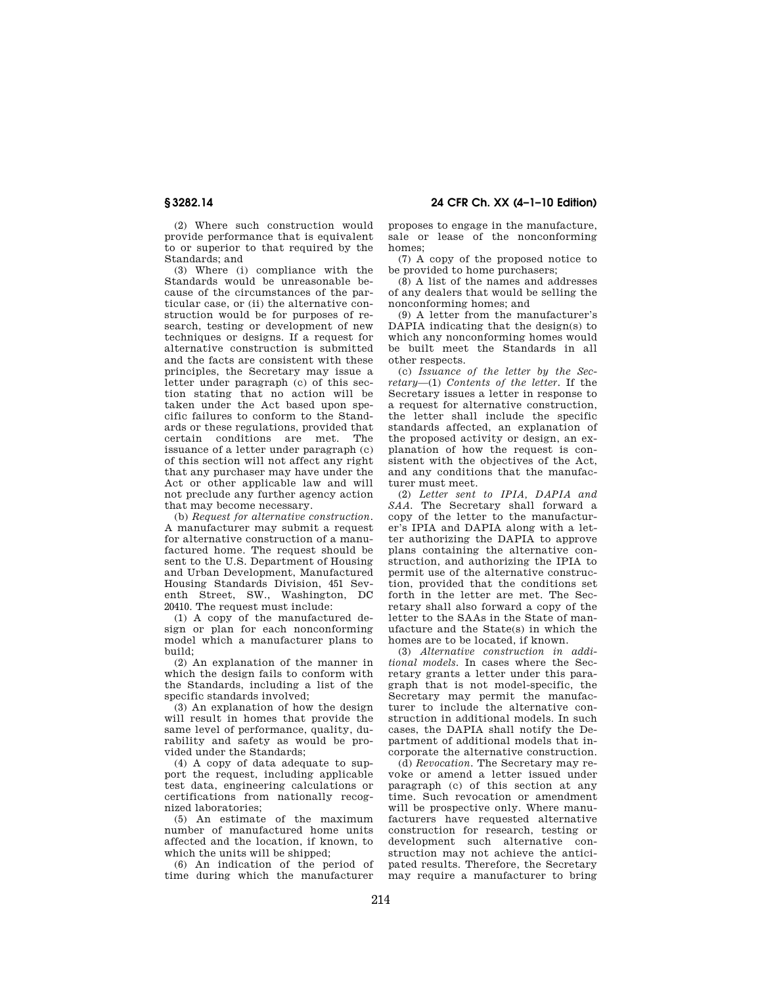**§ 3282.14 24 CFR Ch. XX (4–1–10 Edition)** 

(2) Where such construction would provide performance that is equivalent to or superior to that required by the Standards; and

(3) Where (i) compliance with the Standards would be unreasonable because of the circumstances of the particular case, or (ii) the alternative construction would be for purposes of research, testing or development of new techniques or designs. If a request for alternative construction is submitted and the facts are consistent with these principles, the Secretary may issue a letter under paragraph (c) of this section stating that no action will be taken under the Act based upon specific failures to conform to the Standards or these regulations, provided that certain conditions are met. The issuance of a letter under paragraph (c) of this section will not affect any right that any purchaser may have under the Act or other applicable law and will not preclude any further agency action that may become necessary.

(b) *Request for alternative construction.*  A manufacturer may submit a request for alternative construction of a manufactured home. The request should be sent to the U.S. Department of Housing and Urban Development, Manufactured Housing Standards Division, 451 Seventh Street, SW., Washington, DC 20410. The request must include:

(1) A copy of the manufactured design or plan for each nonconforming model which a manufacturer plans to build;

(2) An explanation of the manner in which the design fails to conform with the Standards, including a list of the specific standards involved;

(3) An explanation of how the design will result in homes that provide the same level of performance, quality, durability and safety as would be provided under the Standards;

(4) A copy of data adequate to support the request, including applicable test data, engineering calculations or certifications from nationally recognized laboratories;

(5) An estimate of the maximum number of manufactured home units affected and the location, if known, to which the units will be shipped;

(6) An indication of the period of time during which the manufacturer

proposes to engage in the manufacture, sale or lease of the nonconforming homes;

(7) A copy of the proposed notice to be provided to home purchasers;

(8) A list of the names and addresses of any dealers that would be selling the nonconforming homes; and

(9) A letter from the manufacturer's DAPIA indicating that the design(s) to which any nonconforming homes would be built meet the Standards in all other respects.

(c) *Issuance of the letter by the Secretary*—(1) *Contents of the letter.* If the Secretary issues a letter in response to a request for alternative construction, the letter shall include the specific standards affected, an explanation of the proposed activity or design, an explanation of how the request is consistent with the objectives of the Act, and any conditions that the manufacturer must meet.

(2) *Letter sent to IPIA, DAPIA and SAA.* The Secretary shall forward a copy of the letter to the manufacturer's IPIA and DAPIA along with a letter authorizing the DAPIA to approve plans containing the alternative construction, and authorizing the IPIA to permit use of the alternative construction, provided that the conditions set forth in the letter are met. The Secretary shall also forward a copy of the letter to the SAAs in the State of manufacture and the State(s) in which the homes are to be located, if known.

(3) *Alternative construction in additional models.* In cases where the Secretary grants a letter under this paragraph that is not model-specific, the Secretary may permit the manufacturer to include the alternative construction in additional models. In such cases, the DAPIA shall notify the Department of additional models that incorporate the alternative construction.

(d) *Revocation.* The Secretary may revoke or amend a letter issued under paragraph (c) of this section at any time. Such revocation or amendment will be prospective only. Where manufacturers have requested alternative construction for research, testing or development such alternative construction may not achieve the anticipated results. Therefore, the Secretary may require a manufacturer to bring